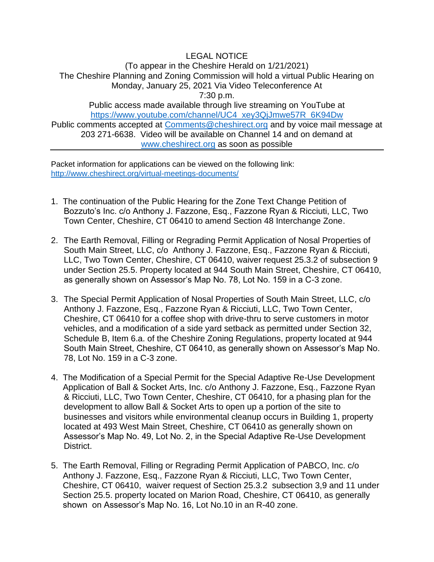## LEGAL NOTICE (To appear in the Cheshire Herald on 1/21/2021) The Cheshire Planning and Zoning Commission will hold a virtual Public Hearing on Monday, January 25, 2021 Via Video Teleconference At 7:30 p.m. Public access made available through live streaming on YouTube at [https://www.youtube.com/channel/UC4\\_xey3QjJmwe57R\\_6K94Dw](https://www.youtube.com/channel/UC4_xey3QjJmwe57R_6K94Dw) Public comments accepted at [Comments@cheshirect.org](mailto:Comments@cheshirect.org) and by voice mail message at 203 271-6638. Video will be available on Channel 14 and on demand at [www.cheshirect.org](http://www.cheshirect.org/) as soon as possible

Packet information for applications can be viewed on the following link: <http://www.cheshirect.org/virtual-meetings-documents/>

- 1. The continuation of the Public Hearing for the Zone Text Change Petition of Bozzuto's Inc. c/o Anthony J. Fazzone, Esq., Fazzone Ryan & Ricciuti, LLC, Two Town Center, Cheshire, CT 06410 to amend Section 48 Interchange Zone.
- 2. The Earth Removal, Filling or Regrading Permit Application of Nosal Properties of South Main Street, LLC, c/o Anthony J. Fazzone, Esq., Fazzone Ryan & Ricciuti, LLC, Two Town Center, Cheshire, CT 06410, waiver request 25.3.2 of subsection 9 under Section 25.5. Property located at 944 South Main Street, Cheshire, CT 06410, as generally shown on Assessor's Map No. 78, Lot No. 159 in a C-3 zone.
- 3. The Special Permit Application of Nosal Properties of South Main Street, LLC, c/o Anthony J. Fazzone, Esq., Fazzone Ryan & Ricciuti, LLC, Two Town Center, Cheshire, CT 06410 for a coffee shop with drive-thru to serve customers in motor vehicles, and a modification of a side yard setback as permitted under Section 32, Schedule B, Item 6.a. of the Cheshire Zoning Regulations, property located at 944 South Main Street, Cheshire, CT 06410, as generally shown on Assessor's Map No. 78, Lot No. 159 in a C-3 zone.
- 4. The Modification of a Special Permit for the Special Adaptive Re-Use Development Application of Ball & Socket Arts, Inc. c/o Anthony J. Fazzone, Esq., Fazzone Ryan & Ricciuti, LLC, Two Town Center, Cheshire, CT 06410, for a phasing plan for the development to allow Ball & Socket Arts to open up a portion of the site to businesses and visitors while environmental cleanup occurs in Building 1, property located at 493 West Main Street, Cheshire, CT 06410 as generally shown on Assessor's Map No. 49, Lot No. 2, in the Special Adaptive Re-Use Development District.
- 5. The Earth Removal, Filling or Regrading Permit Application of PABCO, Inc. c/o Anthony J. Fazzone, Esq., Fazzone Ryan & Ricciuti, LLC, Two Town Center, Cheshire, CT 06410, waiver request of Section 25.3.2 subsection 3,9 and 11 under Section 25.5. property located on Marion Road, Cheshire, CT 06410, as generally shown on Assessor's Map No. 16, Lot No.10 in an R-40 zone.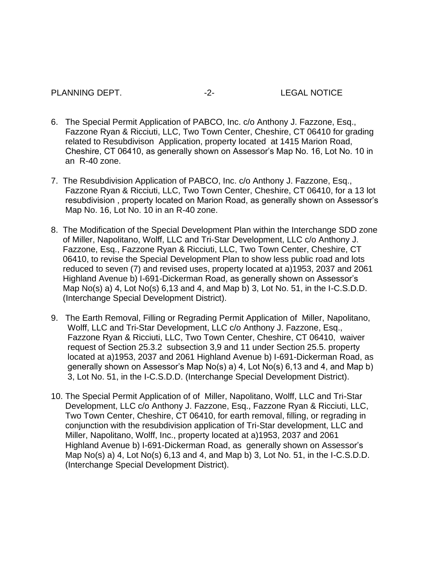### PLANNING DEPT.  $-2$ - LEGAL NOTICE

- 6. The Special Permit Application of PABCO, Inc. c/o Anthony J. Fazzone, Esq., Fazzone Ryan & Ricciuti, LLC, Two Town Center, Cheshire, CT 06410 for grading related to Resubdivison Application, property located at 1415 Marion Road, Cheshire, CT 06410, as generally shown on Assessor's Map No. 16, Lot No. 10 in an R-40 zone.
- 7. The Resubdivision Application of PABCO, Inc. c/o Anthony J. Fazzone, Esq., Fazzone Ryan & Ricciuti, LLC, Two Town Center, Cheshire, CT 06410, for a 13 lot resubdivision , property located on Marion Road, as generally shown on Assessor's Map No. 16, Lot No. 10 in an R-40 zone.
- 8. The Modification of the Special Development Plan within the Interchange SDD zone of Miller, Napolitano, Wolff, LLC and Tri-Star Development, LLC c/o Anthony J. Fazzone, Esq., Fazzone Ryan & Ricciuti, LLC, Two Town Center, Cheshire, CT 06410, to revise the Special Development Plan to show less public road and lots reduced to seven (7) and revised uses, property located at a)1953, 2037 and 2061 Highland Avenue b) I-691-Dickerman Road, as generally shown on Assessor's Map No(s) a) 4, Lot No(s) 6,13 and 4, and Map b) 3, Lot No. 51, in the I-C.S.D.D. (Interchange Special Development District).
- 9. The Earth Removal, Filling or Regrading Permit Application of Miller, Napolitano, Wolff, LLC and Tri-Star Development, LLC c/o Anthony J. Fazzone, Esq., Fazzone Ryan & Ricciuti, LLC, Two Town Center, Cheshire, CT 06410, waiver request of Section 25.3.2 subsection 3,9 and 11 under Section 25.5. property located at a)1953, 2037 and 2061 Highland Avenue b) I-691-Dickerman Road, as generally shown on Assessor's Map No(s) a) 4, Lot No(s) 6,13 and 4, and Map b) 3, Lot No. 51, in the I-C.S.D.D. (Interchange Special Development District).
- 10. The Special Permit Application of of Miller, Napolitano, Wolff, LLC and Tri-Star Development, LLC c/o Anthony J. Fazzone, Esq., Fazzone Ryan & Ricciuti, LLC, Two Town Center, Cheshire, CT 06410, for earth removal, filling, or regrading in conjunction with the resubdivision application of Tri-Star development, LLC and Miller, Napolitano, Wolff, Inc., property located at a)1953, 2037 and 2061 Highland Avenue b) I-691-Dickerman Road, as generally shown on Assessor's Map No(s) a) 4, Lot No(s) 6,13 and 4, and Map b) 3, Lot No. 51, in the I-C.S.D.D. (Interchange Special Development District).